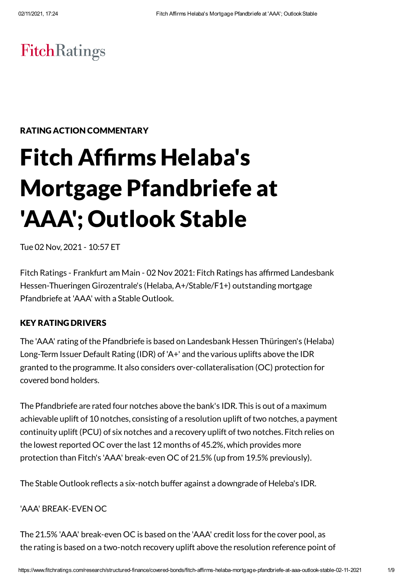# FitchRatings

# RATING ACTION COMMENTARY

# Fitch Affirms Helaba's Mortgage Pfandbriefe at 'AAA'; Outlook Stable

Tue 02 Nov, 2021 - 10:57 ET

Fitch Ratings - Frankfurt am Main - 02 Nov 2021: Fitch Ratings has affirmed Landesbank Hessen-Thueringen Girozentrale's (Helaba,A+/Stable/F1+) outstanding mortgage Pfandbriefe at 'AAA' with a Stable Outlook.

# KEY RATING DRIVERS

The 'AAA' rating of the Pfandbriefe is based on Landesbank Hessen Thüringen's (Helaba) Long-Term Issuer Default Rating (IDR) of'A+' and the various uplifts above the IDR granted to the programme. It also considers over-collateralisation (OC) protection for covered bond holders.

The Pfandbriefe are rated four notches above the bank's IDR. This is out of a maximum achievable uplift of 10 notches, consisting of a resolution uplift of two notches, a payment continuity uplift (PCU) of six notches and a recovery uplift oftwo notches. Fitch relies on the lowest reported OC over the last 12 months of 45.2%, which provides more protection than Fitch's 'AAA' break-even OC of 21.5% (up from 19.5% previously).

The Stable Outlook reflects a six-notch buffer against a downgrade of Heleba's IDR.

# 'AAA' BREAK-EVEN OC

The 21.5% 'AAA' break-even OC is based on the 'AAA' credit loss for the cover pool, as the rating is based on a two-notch recovery uplift above the resolution reference point of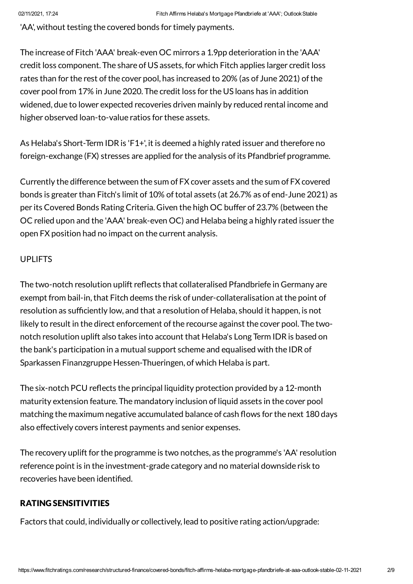'AA', without testing the covered bonds for timely payments.

The increase of Fitch 'AAA' break-even OC mirrors a 1.9pp deterioration in the 'AAA' credit loss component. The share of US assets,for which Fitch applies larger credit loss rates than for the rest of the cover pool, has increased to 20% (as of June 2021) of the cover pool from 17% in June 2020. The credit loss for the US loans has in addition widened, due to lower expected recoveries driven mainly by reduced rental income and higher observed loan-to-value ratios for these assets.

As Helaba's Short-Term IDR is 'F1+', it is deemed a highly rated issuer and therefore no foreign-exchange (FX) stresses are applied for the analysis of its Pfandbrief programme.

Currently the difference between the sum of FX cover assets and the sum of FX covered bonds is greater than Fitch's limit of 10% oftotal assets (at 26.7% as of end-June 2021) as per its Covered Bonds Rating Criteria. Given the high OC buffer of 23.7% (between the OC relied upon and the 'AAA' break-even OC) and Helaba being a highly rated issuer the open FX position had no impact on the current analysis.

# UPLIFTS

The two-notch resolution uplift reflects that collateralised Pfandbriefe in Germany are exempt from bail-in, that Fitch deems the risk of under-collateralisation at the point of resolution as sufficiently low, and that a resolution of Helaba, should it happen, is not likely to result in the direct enforcement of the recourse against the cover pool. The twonotch resolution uplift also takes into account that Helaba's Long Term IDR is based on the bank's participation in a mutual support scheme and equalised with the IDR of Sparkassen Finanzgruppe Hessen-Thueringen, of which Helaba is part.

The six-notch PCU reflects the principal liquidity protection provided by a 12-month maturity extension feature. The mandatory inclusion of liquid assets in the cover pool matching the maximum negative accumulated balance of cash flows for the next 180 days also effectively covers interest payments and senior expenses.

The recovery uplift for the programme is two notches, as the programme's 'AA' resolution reference point is in the investment-grade category and no material downside risk to recoveries have been identified.

# RATING SENSITIVITIES

Factors that could, individually or collectively, lead to positive rating action/upgrade: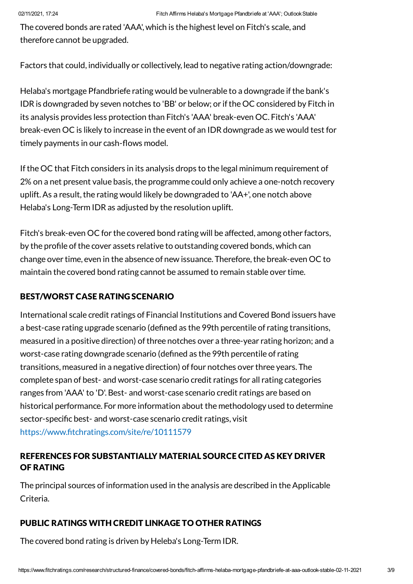The covered bonds are rated 'AAA', which is the highest level on Fitch's scale, and therefore cannot be upgraded.

Factors that could, individually or collectively, lead to negative rating action/downgrade:

Helaba's mortgage Pfandbriefe rating would be vulnerable to a downgrade if the bank's IDR is downgraded by seven notches to 'BB' or below; or if the OC considered by Fitch in its analysis provides less protection than Fitch's 'AAA' break-even OC. Fitch's 'AAA' break-even OC is likely to increase in the event of an IDR downgrade as we would test for timely payments in our cash-flows model.

Ifthe OC that Fitch considers in its analysis drops to the legal minimum requirement of 2% on a net present value basis, the programme could only achieve a one-notch recovery uplift. As a result, the rating would likely be downgraded to 'AA+', one notch above Helaba's Long-Term IDR as adjusted by the resolution uplift.

Fitch's break-even OC for the covered bond rating will be affected, among other factors, by the profile of the cover assets relative to outstanding covered bonds, which can change over time, even in the absence of new issuance. Therefore, the break-even OC to maintain the covered bond rating cannot be assumed to remain stable over time.

# BEST/WORST CASE RATING SCENARIO

International scale credit ratings of Financial Institutions and Covered Bond issuers have a best-case rating upgrade scenario (defined as the 99th percentile of rating transitions, measured in a positive direction) of three notches over a three-year rating horizon; and a worst-case rating downgrade scenario (defined as the 99th percentile of rating transitions, measured in a negative direction) offour notches over three years. The complete span of best- and worst-case scenario credit ratings for all rating categories ranges from 'AAA' to 'D'. Best- and worst-case scenario credit ratings are based on historical performance. For more information about the methodology used to determine sector-specific best- and worst-case scenario credit ratings, visit <https://www.fitchratings.com/site/re/10111579>

# REFERENCES FOR SUBSTANTIALLY MATERIAL SOURCE CITED AS KEY DRIVER OF RATING

The principal sources of information used in the analysis are described in the Applicable Criteria.

# PUBLIC RATINGS WITH CREDIT LINKAGE TO OTHER RATINGS

The covered bond rating is driven by Heleba's Long-Term IDR.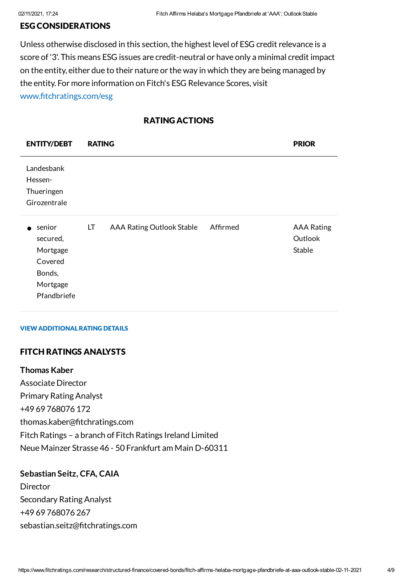#### ESG CONSIDERATIONS

Unless otherwise disclosed in this section, the highest level of ESG credit relevance is a score of'3'. This means ESG issues are credit-neutral or have only a minimal credit impact on the entity, either due to their nature or the way in which they are being managed by the entity. For more information on Fitch's ESG Relevance Scores, visit [www.fitchratings.com/esg](http://www.fitchratings.com/esg)

# RATING ACTIONS

| <b>ENTITY/DEBT</b>                                                             | <b>RATING</b> |                                  |          | <b>PRIOR</b>                           |
|--------------------------------------------------------------------------------|---------------|----------------------------------|----------|----------------------------------------|
| Landesbank<br>Hessen-<br>Thueringen<br>Girozentrale                            |               |                                  |          |                                        |
| senior<br>secured,<br>Mortgage<br>Covered<br>Bonds,<br>Mortgage<br>Pfandbriefe | LT.           | <b>AAA Rating Outlook Stable</b> | Affirmed | <b>AAA Rating</b><br>Outlook<br>Stable |

#### VIEW ADDITIONALRATING DETAILS

#### FITCH RATINGS ANALYSTS

#### **Thomas Kaber**

Associate Director Primary Rating Analyst +49 69 768076 172 thomas.kaber@fitchratings.com Fitch Ratings – a branch of Fitch Ratings Ireland Limited Neue Mainzer Strasse 46 - 50 Frankfurt am Main D-60311

#### **Sebastian Seitz, CFA, CAIA**

Director Secondary Rating Analyst +49 69 768076 267 sebastian.seitz@fitchratings.com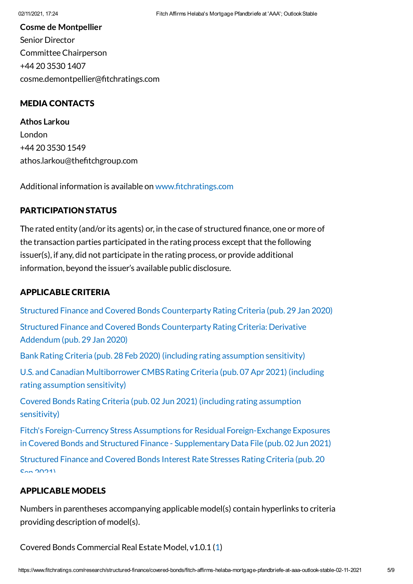# **Cosme de Montpellier** Senior Director CommitteeChairperson +44 20 3530 1407 cosme.demontpellier@fitchratings.com

# MEDIA CONTACTS

**Athos Larkou** London +44 20 3530 1549 athos.larkou@thefitchgroup.com

Additional information is available on [www.fitchratings.com](http://www.fitchratings.com/)

# PARTICIPATION STATUS

The rated entity (and/or its agents) or, in the case of structured finance, one or more of the transaction parties participated in the rating process except that the following issuer(s), if any, did not participate in the rating process, or provide additional information, beyond the issuer's available public disclosure.

# APPLICABLE CRITERIA

APPLICABLE MODELS Structured Finance and Covered Bonds [Counterparty](https://www.fitchratings.com/research/structured-finance/structured-finance-covered-bonds-counterparty-rating-criteria-29-01-2020) Rating Criteria (pub. 29 Jan 2020) Structured Finance and Covered Bonds [Counterparty](https://www.fitchratings.com/research/structured-finance/structured-finance-covered-bonds-counterparty-rating-criteria-derivative-addendum-29-01-2020) Rating Criteria: Derivative Addendum (pub. 29 Jan 2020) Bank Rating Criteria (pub. 28 Feb 2020) (including rating [assumption](https://www.fitchratings.com/research/banks/bank-rating-criteria-28-02-2020) sensitivity) U.S. and Canadian Multiborrower CMBS Rating Criteria (pub. 07 Apr 2021) (including rating assumption sensitivity) Covered Bonds Rating Criteria (pub. 02 Jun 2021) (including rating [assumption](https://www.fitchratings.com/research/structured-finance/covered-bonds/covered-bonds-rating-criteria-02-06-2021) sensitivity) Fitch's Foreign-Currency Stress Assumptions for Residual [Foreign-Exchange](https://www.fitchratings.com/research/structured-finance/covered-bonds/fitch-foreign-currency-stress-assumptions-for-residual-foreign-exchange-exposures-in-covered-bonds-structured-finance-supplementary-data-file-02-06-2021) Exposures in Covered Bonds and Structured Finance - Supplementary Data File (pub. 02 Jun 2021) [Structured](https://www.fitchratings.com/research/structured-finance/structured-finance-covered-bonds-interest-rate-stresses-rating-criteria-20-09-2021) Finance and Covered Bonds Interest Rate Stresses Rating Criteria (pub. 20  $ConOM$ 

Numbers in parentheses accompanying applicable model(s) contain hyperlinks to criteria providing description of model(s).

Covered Bonds Commercial Real Estate Model, v1.0.1 [\(1](https://www.fitchratings.com/research/structured-finance/covered-bonds/covered-bonds-rating-criteria-02-06-2021))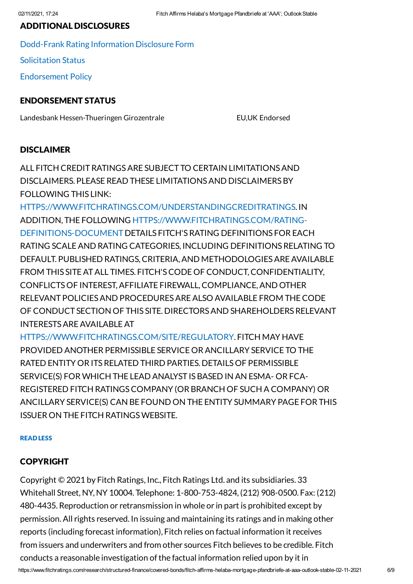# ADDITIONAL DISCLOSURES

[Dodd-Frank](https://www.fitchratings.com/research/structured-finance/covered-bonds/fitch-affirms-helaba-mortgage-pfandbriefe-at-aaa-outlook-stable-02-11-2021/dodd-frank-disclosure) Rating Information Disclosure Form

Solicitation Status

[Endorsement](#page-7-0) Policy

# ENDORSEMENT STATUS

Landesbank Hessen-Thueringen Girozentrale EU,UK Endorsed

# DISCLAIMER

ALL FITCH CREDITRATINGSARE SUBJECT TO CERTAIN LIMITATIONSAND DISCLAIMERS. PLEASE READ THESE LIMITATIONSAND DISCLAIMERSBY FOLLOWING THIS LINK:

[HTTPS://WWW.FITCHRATINGS.COM/UNDERSTANDINGCREDITRATINGS.](https://www.fitchratings.com/UNDERSTANDINGCREDITRATINGS) IN ADDITION, THE FOLLOWING [HTTPS://WWW.FITCHRATINGS.COM/RATING-](https://www.fitchratings.com/rating-definitions-document)DEFINITIONS-DOCUMENT DETAILS FITCH'SRATING DEFINITIONS FOR EACH RATING SCALEAND RATING CATEGORIES, INCLUDING DEFINITIONSRELATING TO DEFAULT. PUBLISHED RATINGS,CRITERIA,AND METHODOLOGIESAREAVAILABLE FROM THIS SITE AT ALL TIMES. FITCH'S CODE OF CONDUCT, CONFIDENTIALITY, CONFLICTSOF INTEREST,AFFILIATE FIREWALL,COMPLIANCE,AND OTHER RELEVANT POLICIESAND PROCEDURESAREALSO AVAILABLE FROM THECODE OF CONDUCT SECTION OF THIS SITE. DIRECTORS AND SHAREHOLDERS RELEVANT INTERESTSAREAVAILABLEAT

[HTTPS://WWW.FITCHRATINGS.COM/SITE/REGULATORY](https://www.fitchratings.com/site/regulatory). FITCH MAY HAVE PROVIDED ANOTHER PERMISSIBLE SERVICE ORANCILLARY SERVICE TO THE RATED ENTITY OR ITSRELATED THIRD PARTIES. DETAILSOF PERMISSIBLE SERVICE(S) FOR WHICH THE LEAD ANALYST IS BASED IN AN ESMA- OR FCA-REGISTERED FITCH RATINGSCOMPANY (OR BRANCH OF SUCH A COMPANY) OR ANCILLARY SERVICE(S) CAN BE FOUND ON THE ENTITY SUMMARY PAGE FOR THIS ISSUER ON THE FITCH RATINGSWEBSITE.

#### READ LESS

# COPYRIGHT

https://www.fitchratings.com/research/structured-finance/covered-bonds/fitch-affirms-helaba-mortgage-pfandbriefe-at-aaa-outlook-stable-02-11-2021 6/9 Copyright © 2021 by Fitch Ratings, Inc., Fitch Ratings Ltd. and its subsidiaries. 33 Whitehall Street, NY, NY 10004. Telephone: 1-800-753-4824, (212) 908-0500. Fax: (212) 480-4435. Reproduction or retransmission in whole or in part is prohibited except by permission.All rights reserved. In issuing and maintaining its ratings and in making other reports (including forecast information), Fitch relies on factual information it receives from issuers and underwriters and from other sources Fitch believes to be credible. Fitch conducts a reasonable investigation ofthe factual information relied upon by it in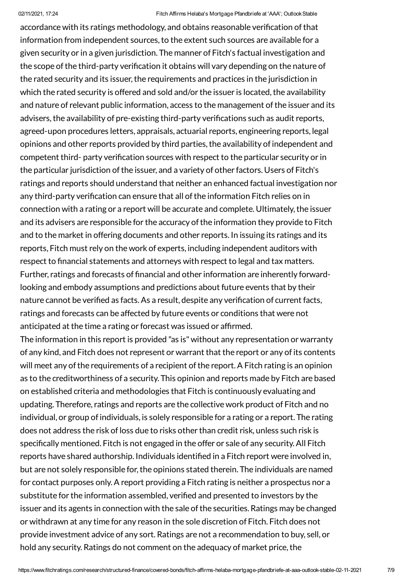accordance with its ratings methodology, and obtains reasonable verification of that information from independent sources, to the extent such sources are available for a given security or in a given jurisdiction. The manner of Fitch's factual investigation and the scope of the third-party verification it obtains will vary depending on the nature of the rated security and its issuer, the requirements and practices in the jurisdiction in which the rated security is offered and sold and/or the issuer is located, the availability and nature of relevant public information, access to the management of the issuer and its advisers, the availability of pre-existing third-party verifications such as audit reports, agreed-upon procedures letters, appraisals, actuarial reports, engineering reports, legal opinions and other reports provided by third parties, the availability of independent and competent third- party verification sources with respect to the particular security or in the particular jurisdiction of the issuer, and a variety of other factors. Users of Fitch's ratings and reports should understand that neither an enhanced factual investigation nor any third-party verification can ensure that all of the information Fitch relies on in connection with a rating or a report will be accurate and complete. Ultimately, the issuer and its advisers are responsible for the accuracy of the information they provide to Fitch and to the market in offering documents and other reports. In issuing its ratings and its reports, Fitch must rely on the work of experts, including independent auditors with respect to financial statements and attorneys with respect to legal and tax matters. Further, ratings and forecasts of financial and other information are inherently forwardlooking and embody assumptions and predictions about future events that by their nature cannot be verified as facts. As a result, despite any verification of current facts, ratings and forecasts can be affected by future events or conditions that were not anticipated at the time a rating or forecast was issued or affirmed.

The information in this report is provided "as is" without any representation or warranty of any kind, and Fitch does not represent or warrant that the report or any of its contents will meet any of the requirements of a recipient of the report. A Fitch rating is an opinion as to the creditworthiness of a security. This opinion and reports made by Fitch are based on established criteria and methodologies that Fitch is continuously evaluating and updating. Therefore, ratings and reports are the collective work product of Fitch and no individual, or group of individuals, is solely responsible for a rating or a report. The rating does not address the risk of loss due to risks other than credit risk, unless such risk is specifically mentioned. Fitch is not engaged in the offer or sale of any security.All Fitch reports have shared authorship. Individuals identified in a Fitch report were involved in, but are not solely responsible for, the opinions stated therein. The individuals are named for contact purposes only. A report providing a Fitch rating is neither a prospectus nor a substitute for the information assembled, verified and presented to investors by the issuer and its agents in connection with the sale of the securities. Ratings may be changed or withdrawn at any time for any reason in the sole discretion of Fitch. Fitch does not provide investment advice of any sort. Ratings are not a recommendation to buy, sell, or hold any security. Ratings do not comment on the adequacy of market price, the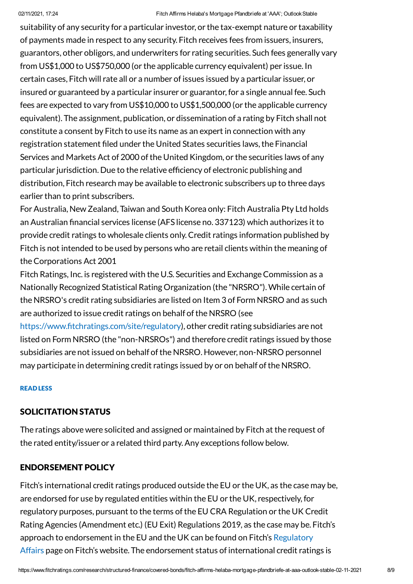suitability of any security for a particular investor, or the tax-exempt nature or taxability of payments made in respect to any security. Fitch receives fees from issuers, insurers, guarantors, other obligors, and underwriters for rating securities. Such fees generally vary from US\$1,000 to US\$750,000 (or the applicable currency equivalent) per issue. In certain cases, Fitch will rate all or a number ofissues issued by a particular issuer, or insured or guaranteed by a particular insurer or guarantor, for a single annual fee. Such fees are expected to vary from US\$10,000 to US\$1,500,000 (or the applicable currency equivalent). The assignment, publication, or dissemination of a rating by Fitch shall not constitute a consent by Fitch to use its name as an expert in connection with any registration statement filed under the United States securities laws, the Financial Services and Markets Act of 2000 of the United Kingdom, or the securities laws of any particular jurisdiction. Due to the relative efficiency of electronic publishing and distribution, Fitch research may be available to electronic subscribers up to three days earlier than to print subscribers.

ForAustralia, New Zealand, Taiwan and South Korea only: Fitch Australia Pty Ltd holds an Australian financial services license (AFS license no. 337123) which authorizes it to provide credit ratings to wholesale clients only.Credit ratings information published by Fitch is not intended to be used by persons who are retail clients within the meaning of theCorporations Act 2001

Fitch Ratings, Inc. is registered with the U.S. Securities and Exchange Commission as a Nationally Recognized Statistical Rating Organization (the "NRSRO").While certain of the NRSRO's credit rating subsidiaries are listed on Item 3 of Form NRSRO and as such are authorized to issue credit ratings on behalf of the NRSRO (see

[https://www.fitchratings.com/site/regulatory\)](https://www.fitchratings.com/site/regulatory), other credit rating subsidiaries are not listed on Form NRSRO (the "non-NRSROs") and therefore credit ratings issued by those subsidiaries are not issued on behalf of the NRSRO. However, non-NRSRO personnel may participate in determining credit ratings issued by or on behalf ofthe NRSRO.

#### READ LESS

# SOLICITATION STATUS

The ratings above were solicited and assigned or maintained by Fitch at the request of the rated entity/issuer or a related third party.Any exceptions follow below.

# <span id="page-7-0"></span>ENDORSEMENT POLICY

Fitch's international credit ratings produced outside the EU or the UK, as the case may be, are endorsed for use by regulated entities within the EU or the UK, respectively,for regulatory purposes, pursuant to the terms of the EU CRA Regulation or the UK Credit Rating Agencies (Amendment etc.) (EU Exit) Regulations 2019, as the case may be. Fitch's approach to endorsement in the EU and the UK can be found on Fitch's Regulatory Affairs page on Fitch's website. The endorsement status of international credit ratings is